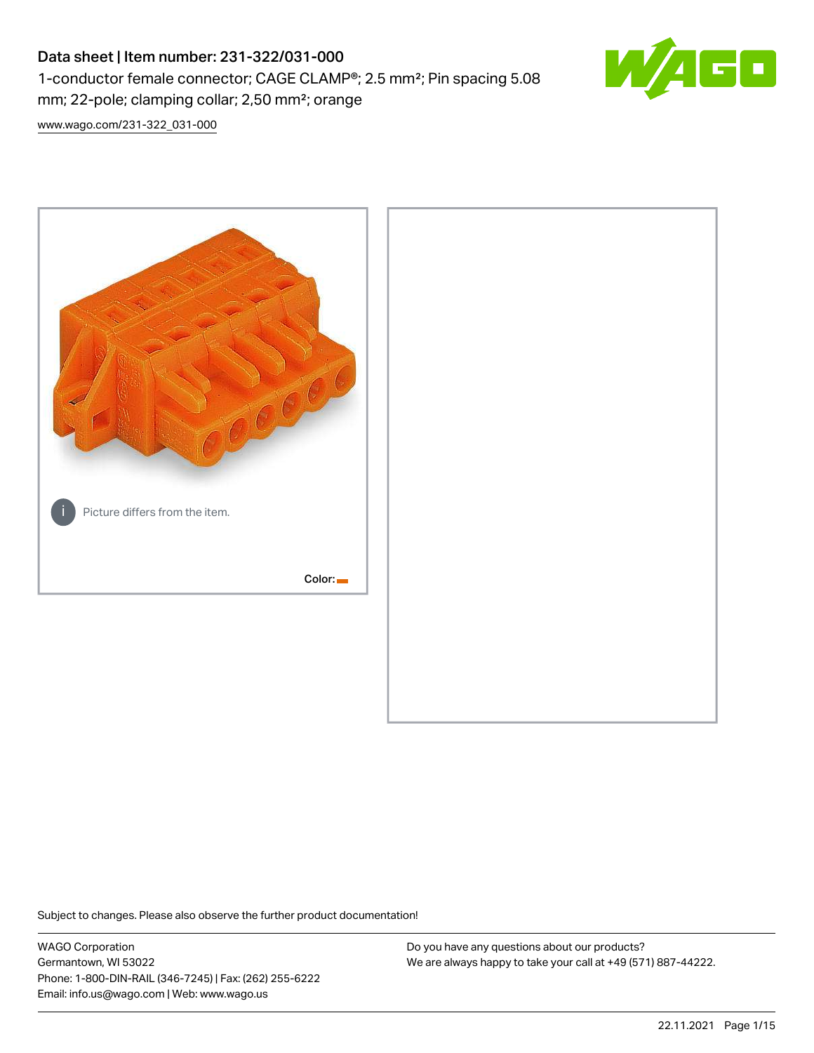# Data sheet | Item number: 231-322/031-000 1-conductor female connector; CAGE CLAMP®; 2.5 mm²; Pin spacing 5.08 mm; 22-pole; clamping collar; 2,50 mm²; orange



[www.wago.com/231-322\\_031-000](http://www.wago.com/231-322_031-000)



Subject to changes. Please also observe the further product documentation!

WAGO Corporation Germantown, WI 53022 Phone: 1-800-DIN-RAIL (346-7245) | Fax: (262) 255-6222 Email: info.us@wago.com | Web: www.wago.us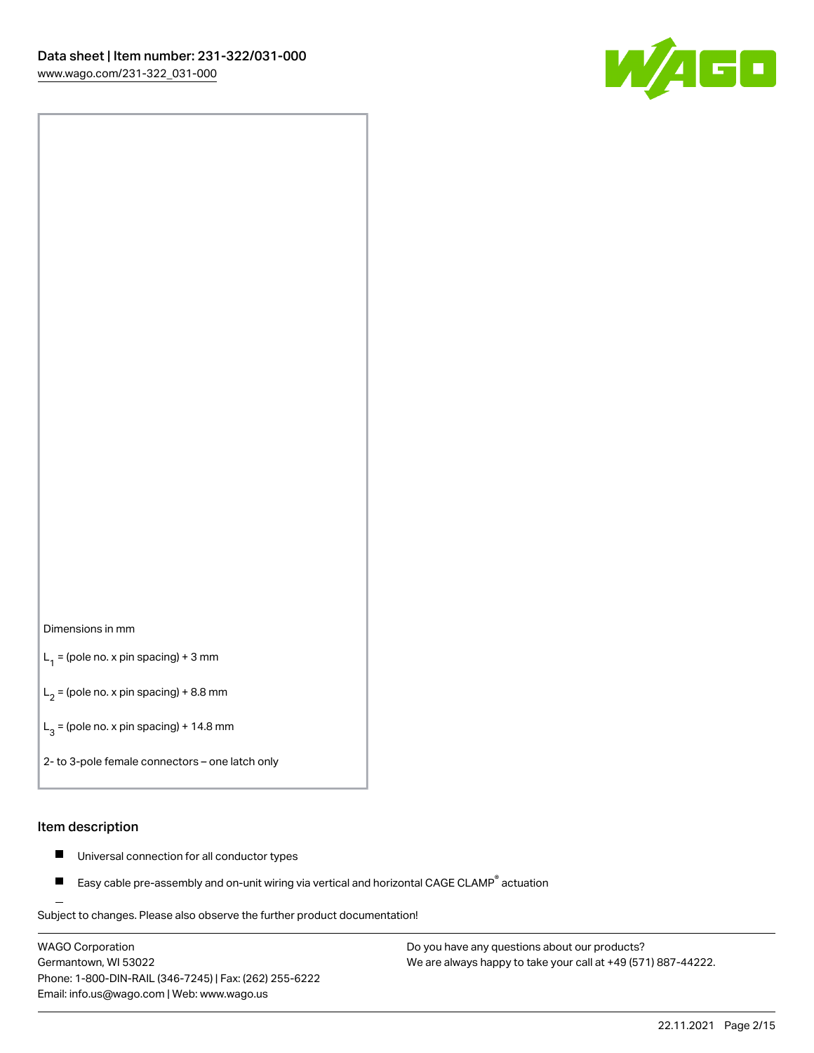

#### Dimensions in mm

 $L_1$  = (pole no. x pin spacing) + 3 mm

 $L_2$  = (pole no. x pin spacing) + 8.8 mm

 $L_3$  = (pole no. x pin spacing) + 14.8 mm

2- to 3-pole female connectors – one latch only

#### Item description

- $\blacksquare$ Universal connection for all conductor types
- Easy cable pre-assembly and on-unit wiring via vertical and horizontal CAGE CLAMP<sup>®</sup> actuation П

.<br>Subject to changes. Please also observe the further product documentation!

WAGO Corporation Germantown, WI 53022 Phone: 1-800-DIN-RAIL (346-7245) | Fax: (262) 255-6222 Email: info.us@wago.com | Web: www.wago.us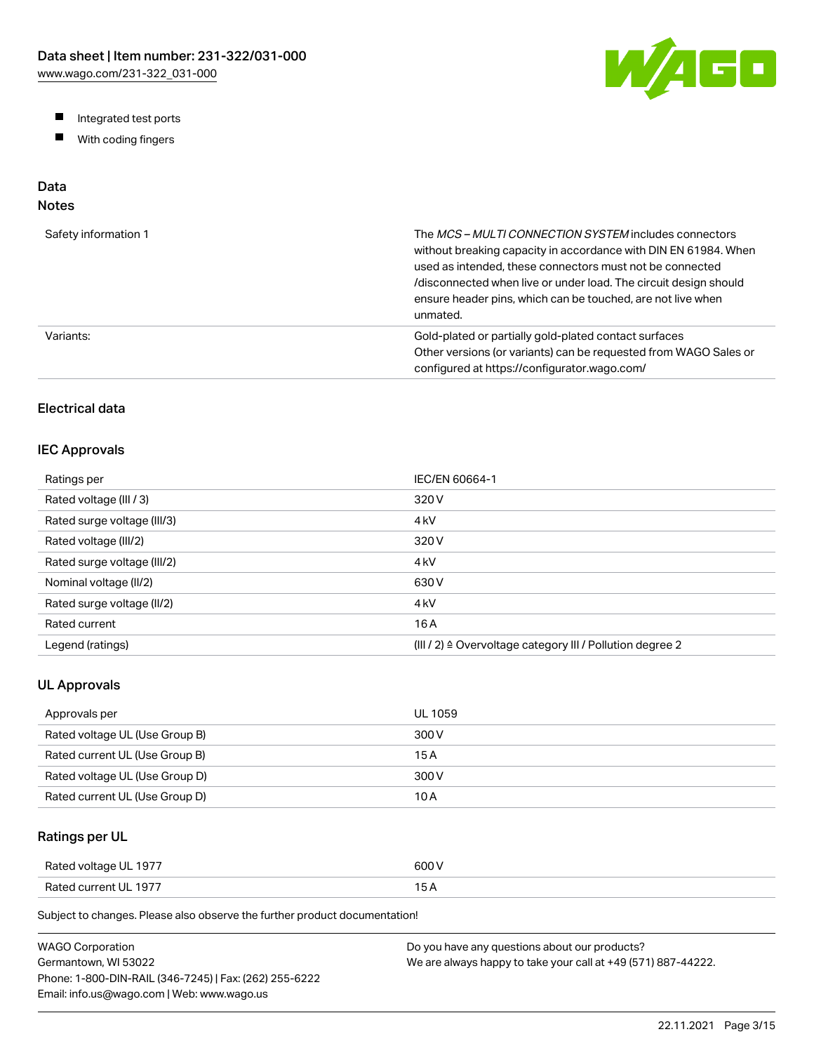W/AGO

- Integrated test ports
- $\blacksquare$ With coding fingers

# Data

## Notes

| Safety information 1 | The MCS-MULTI CONNECTION SYSTEM includes connectors<br>without breaking capacity in accordance with DIN EN 61984. When<br>used as intended, these connectors must not be connected<br>/disconnected when live or under load. The circuit design should<br>ensure header pins, which can be touched, are not live when<br>unmated. |
|----------------------|-----------------------------------------------------------------------------------------------------------------------------------------------------------------------------------------------------------------------------------------------------------------------------------------------------------------------------------|
| Variants:            | Gold-plated or partially gold-plated contact surfaces<br>Other versions (or variants) can be requested from WAGO Sales or<br>configured at https://configurator.wago.com/                                                                                                                                                         |

## Electrical data

#### IEC Approvals

| Ratings per                 | IEC/EN 60664-1                                                        |
|-----------------------------|-----------------------------------------------------------------------|
| Rated voltage (III / 3)     | 320 V                                                                 |
| Rated surge voltage (III/3) | 4 <sub>kV</sub>                                                       |
| Rated voltage (III/2)       | 320 V                                                                 |
| Rated surge voltage (III/2) | 4 <sub>k</sub> V                                                      |
| Nominal voltage (II/2)      | 630 V                                                                 |
| Rated surge voltage (II/2)  | 4 <sub>k</sub> V                                                      |
| Rated current               | 16 A                                                                  |
| Legend (ratings)            | $(III / 2)$ $\triangle$ Overvoltage category III / Pollution degree 2 |

#### UL Approvals

| Approvals per                  | <b>UL 1059</b> |
|--------------------------------|----------------|
| Rated voltage UL (Use Group B) | 300 V          |
| Rated current UL (Use Group B) | 15 A           |
| Rated voltage UL (Use Group D) | 300 V          |
| Rated current UL (Use Group D) | 10 A           |

#### Ratings per UL

| Rated voltage UL 1977 | 600 V  |
|-----------------------|--------|
| Rated current UL 1977 | $\sim$ |

Subject to changes. Please also observe the further product documentation!

| WAGO Corporation                                       | Do you have any questions about our products?                 |
|--------------------------------------------------------|---------------------------------------------------------------|
| Germantown. WI 53022                                   | We are always happy to take your call at +49 (571) 887-44222. |
| Phone: 1-800-DIN-RAIL (346-7245)   Fax: (262) 255-6222 |                                                               |
| Email: info.us@wago.com   Web: www.wago.us             |                                                               |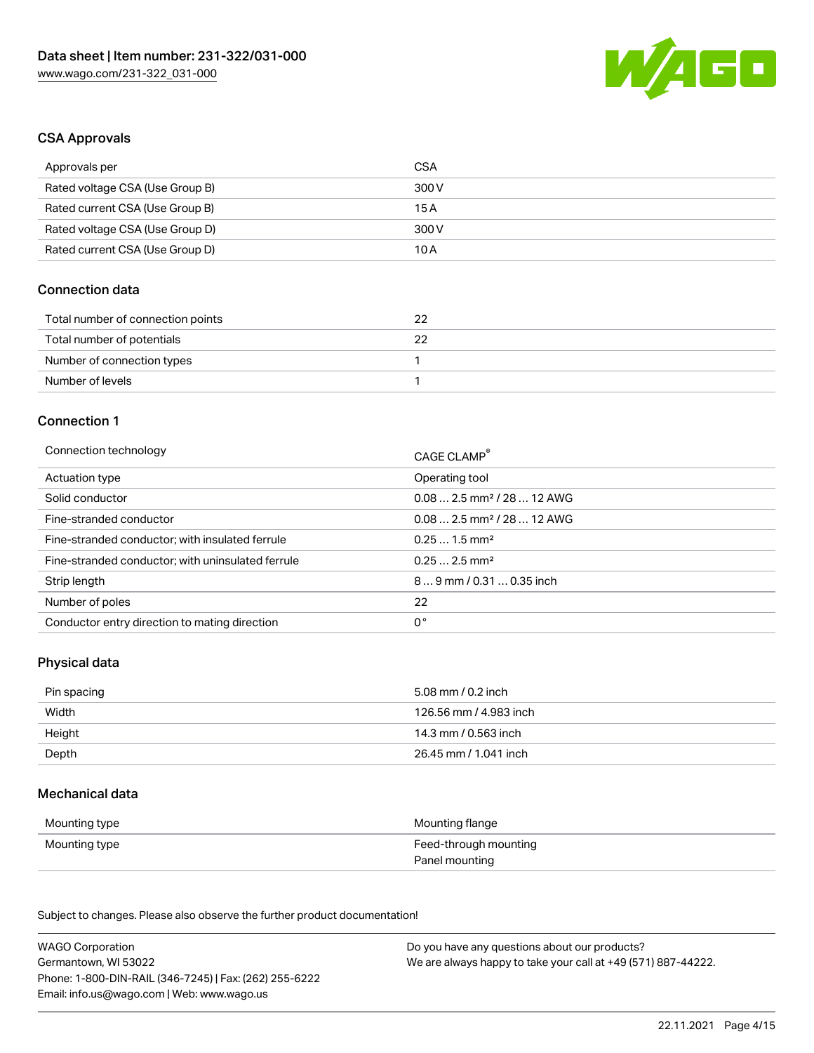

#### CSA Approvals

| Approvals per                   | CSA   |
|---------------------------------|-------|
| Rated voltage CSA (Use Group B) | 300 V |
| Rated current CSA (Use Group B) | 15A   |
| Rated voltage CSA (Use Group D) | 300 V |
| Rated current CSA (Use Group D) | 10 A  |

#### Connection data

| Total number of connection points | 22 |
|-----------------------------------|----|
| Total number of potentials        |    |
| Number of connection types        |    |
| Number of levels                  |    |

#### Connection 1

| Connection technology                             | CAGE CLAMP®                            |
|---------------------------------------------------|----------------------------------------|
| Actuation type                                    | Operating tool                         |
| Solid conductor                                   | $0.082.5$ mm <sup>2</sup> / 28  12 AWG |
| Fine-stranded conductor                           | $0.082.5$ mm <sup>2</sup> / 28  12 AWG |
| Fine-stranded conductor; with insulated ferrule   | $0.251.5$ mm <sup>2</sup>              |
| Fine-stranded conductor; with uninsulated ferrule | $0.252.5$ mm <sup>2</sup>              |
| Strip length                                      | $89$ mm / 0.31  0.35 inch              |
| Number of poles                                   | 22                                     |
| Conductor entry direction to mating direction     | 0°                                     |

## Physical data

| Pin spacing | 5.08 mm / 0.2 inch     |
|-------------|------------------------|
| Width       | 126.56 mm / 4.983 inch |
| Height      | 14.3 mm / 0.563 inch   |
| Depth       | 26.45 mm / 1.041 inch  |

#### Mechanical data

| Mounting type | Mounting flange       |
|---------------|-----------------------|
| Mounting type | Feed-through mounting |
|               | Panel mounting        |

Subject to changes. Please also observe the further product documentation!

| <b>WAGO Corporation</b>                                | Do you have any questions about our products?                 |
|--------------------------------------------------------|---------------------------------------------------------------|
| Germantown, WI 53022                                   | We are always happy to take your call at +49 (571) 887-44222. |
| Phone: 1-800-DIN-RAIL (346-7245)   Fax: (262) 255-6222 |                                                               |
| Email: info.us@wago.com   Web: www.wago.us             |                                                               |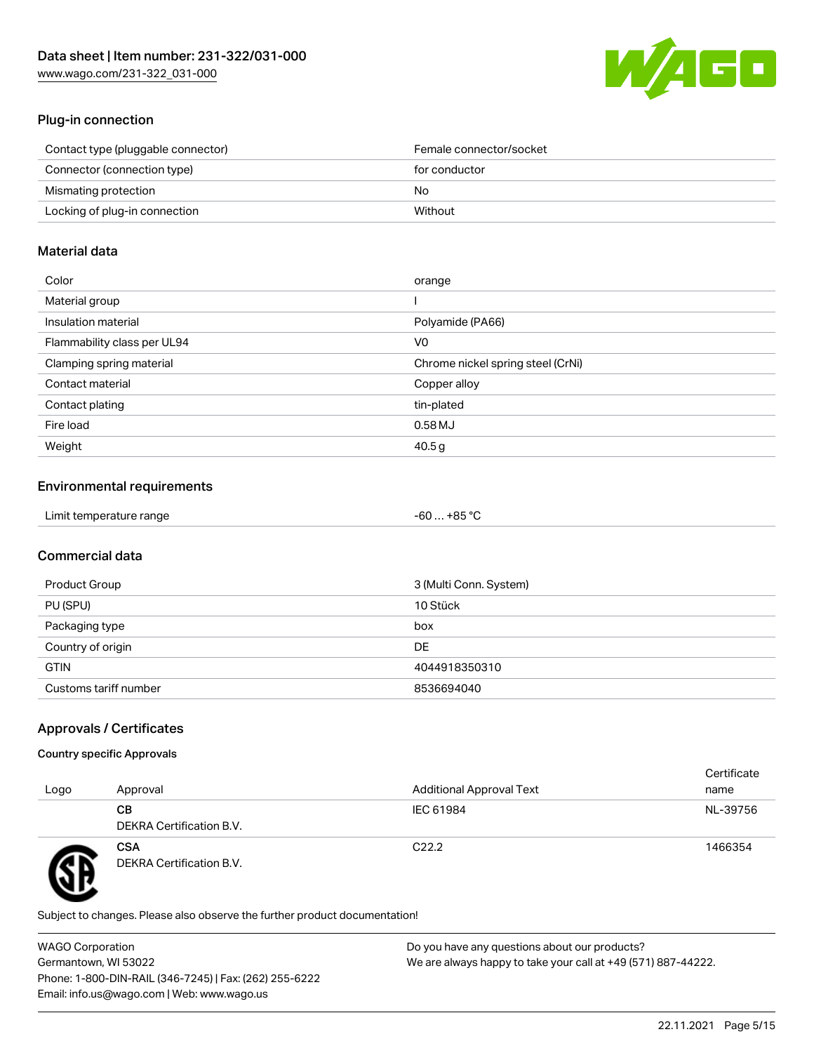[www.wago.com/231-322\\_031-000](http://www.wago.com/231-322_031-000)



#### Plug-in connection

| Contact type (pluggable connector) | Female connector/socket |
|------------------------------------|-------------------------|
| Connector (connection type)        | for conductor           |
| Mismating protection               | No.                     |
| Locking of plug-in connection      | Without                 |
|                                    |                         |

#### Material data

| Color                       | orange                            |
|-----------------------------|-----------------------------------|
| Material group              |                                   |
| Insulation material         | Polyamide (PA66)                  |
| Flammability class per UL94 | V0                                |
| Clamping spring material    | Chrome nickel spring steel (CrNi) |
| Contact material            | Copper alloy                      |
| Contact plating             | tin-plated                        |
| Fire load                   | 0.58MJ                            |
| Weight                      | 40.5g                             |

## Environmental requirements

| Limit temperature range<br>. | $+85 °C$<br>-60 |  |
|------------------------------|-----------------|--|
|------------------------------|-----------------|--|

## Commercial data

| Product Group         | 3 (Multi Conn. System) |
|-----------------------|------------------------|
| PU (SPU)              | 10 Stück               |
| Packaging type        | box                    |
| Country of origin     | <b>DE</b>              |
| <b>GTIN</b>           | 4044918350310          |
| Customs tariff number | 8536694040             |

## Approvals / Certificates

#### Country specific Approvals

| Logo | Approval                               | <b>Additional Approval Text</b> | Certificate<br>name |
|------|----------------------------------------|---------------------------------|---------------------|
|      | CВ<br>DEKRA Certification B.V.         | IEC 61984                       | NL-39756            |
|      | <b>CSA</b><br>DEKRA Certification B.V. | C <sub>22.2</sub>               | 1466354             |

Subject to changes. Please also observe the further product documentation!

WAGO Corporation Germantown, WI 53022 Phone: 1-800-DIN-RAIL (346-7245) | Fax: (262) 255-6222 Email: info.us@wago.com | Web: www.wago.us Do you have any questions about our products? We are always happy to take your call at +49 (571) 887-44222.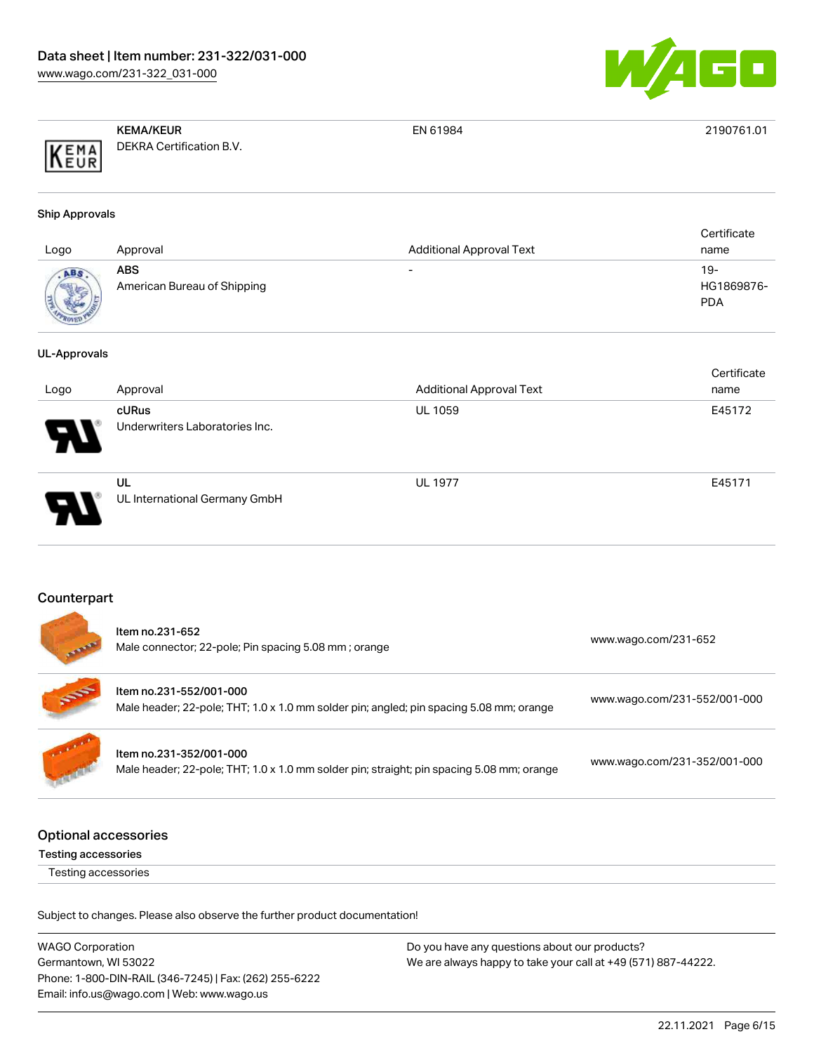

EN 61984 2190761.01

|      | <b>KEMA/KEUR</b>         |
|------|--------------------------|
| KEMA | DEKRA Certification B.V. |

#### Ship Approvals

| Logo | Approval                           | <b>Additional Approval Text</b> | Certificate<br>name             |
|------|------------------------------------|---------------------------------|---------------------------------|
| ABS  | ABS<br>American Bureau of Shipping | $\overline{\phantom{0}}$        | 19-<br>HG1869876-<br><b>PDA</b> |

#### UL-Approvals

| Logo                       | Approval                                | <b>Additional Approval Text</b> | Certificate<br>name |
|----------------------------|-----------------------------------------|---------------------------------|---------------------|
| $\boldsymbol{\mathcal{P}}$ | cURus<br>Underwriters Laboratories Inc. | <b>UL 1059</b>                  | E45172              |
| D                          | UL<br>UL International Germany GmbH     | <b>UL 1977</b>                  | E45171              |

#### Counterpart

|                             | Item no.231-652<br>Male connector; 22-pole; Pin spacing 5.08 mm; orange                                              | www.wago.com/231-652         |
|-----------------------------|----------------------------------------------------------------------------------------------------------------------|------------------------------|
|                             | Item no.231-552/001-000<br>Male header; 22-pole; THT; 1.0 x 1.0 mm solder pin; angled; pin spacing 5.08 mm; orange   | www.wago.com/231-552/001-000 |
|                             | Item no.231-352/001-000<br>Male header; 22-pole; THT; 1.0 x 1.0 mm solder pin; straight; pin spacing 5.08 mm; orange | www.wago.com/231-352/001-000 |
| <b>Optional accessories</b> |                                                                                                                      |                              |

Testing accessories

Testing accessories

Subject to changes. Please also observe the further product documentation!

WAGO Corporation Germantown, WI 53022 Phone: 1-800-DIN-RAIL (346-7245) | Fax: (262) 255-6222 Email: info.us@wago.com | Web: www.wago.us Do you have any questions about our products? We are always happy to take your call at +49 (571) 887-44222.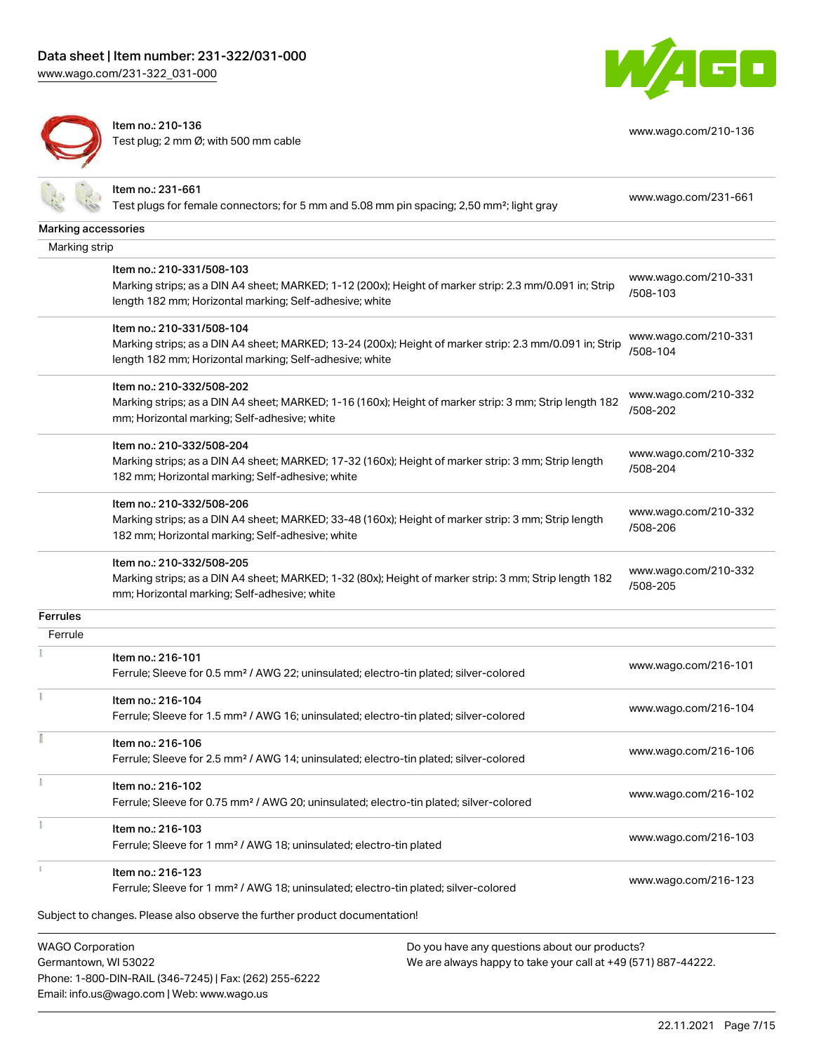Item no.: 231-661

[www.wago.com/231-322\\_031-000](http://www.wago.com/231-322_031-000)



Marking accessories Marking strip

Item no.: 210-136 Test plug; 2 mm Ø; with 500 mm cable



[www.wago.com/210-136](http://www.wago.com/210-136)

Test plugs for female connectors; for 5 mm and 5.08 mm pin spacing; 2,50 mm²; light gray [www.wago.com/231-661](http://www.wago.com/231-661) Item no.: 210-331/508-103 Marking strips; as a DIN A4 sheet; MARKED; 1-12 (200x); Height of marker strip: 2.3 mm/0.091 in; Strip length 182 mm; Horizontal marking; Self-adhesive; white [www.wago.com/210-331](http://www.wago.com/210-331/508-103) [/508-103](http://www.wago.com/210-331/508-103) Item no.: 210-331/508-104 Marking strips; as a DIN A4 sheet; MARKED; 13-24 (200x); Height of marker strip: 2.3 mm/0.091 in; Strip length 182 mm; Horizontal marking; Self-adhesive; white [www.wago.com/210-331](http://www.wago.com/210-331/508-104) [/508-104](http://www.wago.com/210-331/508-104) Item no.: 210-332/508-202 Marking strips; as a DIN A4 sheet; MARKED; 1-16 (160x); Height of marker strip: 3 mm; Strip length 182 mm; Horizontal marking; Self-adhesive; white [www.wago.com/210-332](http://www.wago.com/210-332/508-202) [/508-202](http://www.wago.com/210-332/508-202) Item no.: 210-332/508-204 Marking strips; as a DIN A4 sheet; MARKED; 17-32 (160x); Height of marker strip: 3 mm; Strip length 182 mm; Horizontal marking; Self-adhesive; white [www.wago.com/210-332](http://www.wago.com/210-332/508-204) [/508-204](http://www.wago.com/210-332/508-204) Item no.: 210-332/508-206 Marking strips; as a DIN A4 sheet; MARKED; 33-48 (160x); Height of marker strip: 3 mm; Strip length 182 mm; Horizontal marking; Self-adhesive; white [www.wago.com/210-332](http://www.wago.com/210-332/508-206) [/508-206](http://www.wago.com/210-332/508-206) Item no.: 210-332/508-205

Marking strips; as a DIN A4 sheet; MARKED; 1-32 (80x); Height of marker strip: 3 mm; Strip length 182 mm; Horizontal marking; Self-adhesive; white [www.wago.com/210-332](http://www.wago.com/210-332/508-205) [/508-205](http://www.wago.com/210-332/508-205)

Ferrule

**Ferrules** 

| Item no.: 216-101                                                                                  |                      |
|----------------------------------------------------------------------------------------------------|----------------------|
| Ferrule; Sleeve for 0.5 mm <sup>2</sup> / AWG 22; uninsulated; electro-tin plated; silver-colored  | www.wago.com/216-101 |
| Item no.: 216-104                                                                                  |                      |
| Ferrule; Sleeve for 1.5 mm <sup>2</sup> / AWG 16; uninsulated; electro-tin plated; silver-colored  | www.wago.com/216-104 |
| Item no.: 216-106                                                                                  |                      |
| Ferrule; Sleeve for 2.5 mm <sup>2</sup> / AWG 14; uninsulated; electro-tin plated; silver-colored  | www.wago.com/216-106 |
| Item no.: 216-102                                                                                  |                      |
| Ferrule; Sleeve for 0.75 mm <sup>2</sup> / AWG 20; uninsulated; electro-tin plated; silver-colored | www.wago.com/216-102 |
| Item no.: 216-103                                                                                  |                      |
| Ferrule; Sleeve for 1 mm <sup>2</sup> / AWG 18; uninsulated; electro-tin plated                    | www.wago.com/216-103 |
| Item no.: 216-123                                                                                  |                      |
| Ferrule; Sleeve for 1 mm <sup>2</sup> / AWG 18; uninsulated; electro-tin plated; silver-colored    | www.wago.com/216-123 |
| Subject to changes. Please also observe the further product documentation!                         |                      |
|                                                                                                    |                      |

WAGO Corporation Germantown, WI 53022 Phone: 1-800-DIN-RAIL (346-7245) | Fax: (262) 255-6222 Email: info.us@wago.com | Web: www.wago.us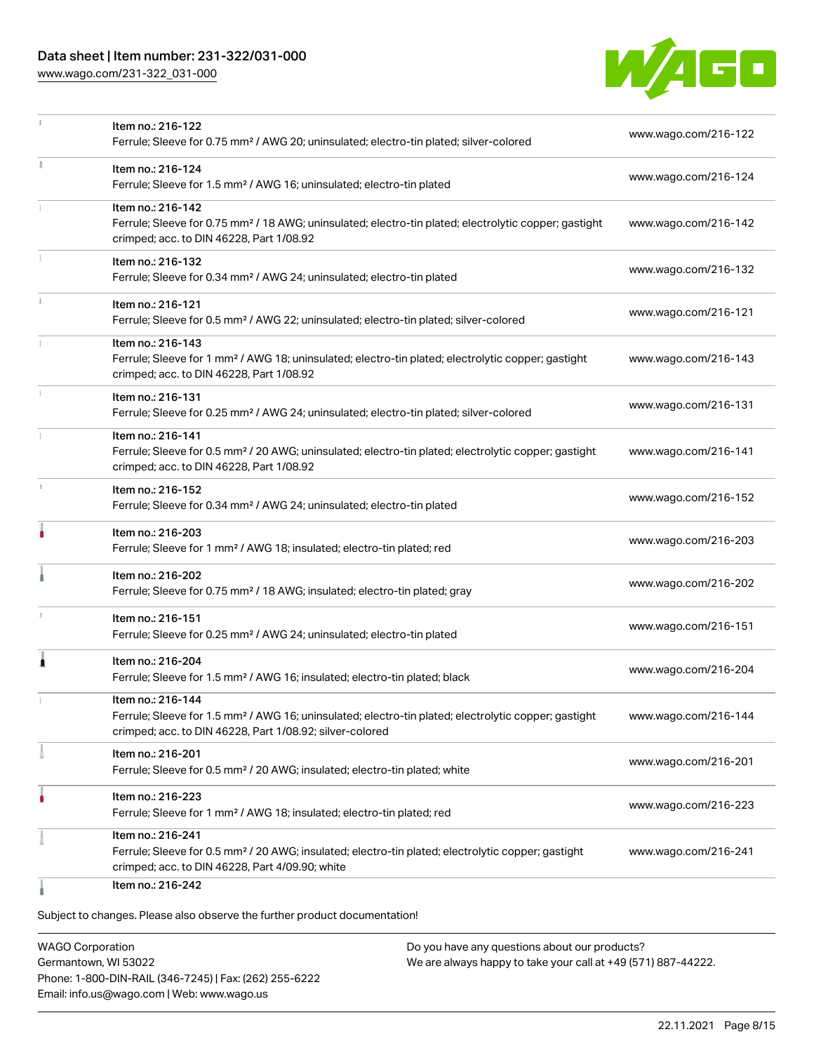## Data sheet | Item number: 231-322/031-000

[www.wago.com/231-322\\_031-000](http://www.wago.com/231-322_031-000)



|    | Item no.: 216-122<br>Ferrule; Sleeve for 0.75 mm <sup>2</sup> / AWG 20; uninsulated; electro-tin plated; silver-colored                                                                           | www.wago.com/216-122 |
|----|---------------------------------------------------------------------------------------------------------------------------------------------------------------------------------------------------|----------------------|
| I. | Item no.: 216-124<br>Ferrule; Sleeve for 1.5 mm <sup>2</sup> / AWG 16; uninsulated; electro-tin plated                                                                                            | www.wago.com/216-124 |
|    | Item no.: 216-142<br>Ferrule; Sleeve for 0.75 mm <sup>2</sup> / 18 AWG; uninsulated; electro-tin plated; electrolytic copper; gastight<br>crimped; acc. to DIN 46228, Part 1/08.92                | www.wago.com/216-142 |
|    | Item no.: 216-132<br>Ferrule; Sleeve for 0.34 mm <sup>2</sup> / AWG 24; uninsulated; electro-tin plated                                                                                           | www.wago.com/216-132 |
|    | Item no.: 216-121<br>Ferrule; Sleeve for 0.5 mm <sup>2</sup> / AWG 22; uninsulated; electro-tin plated; silver-colored                                                                            | www.wago.com/216-121 |
|    | Item no.: 216-143<br>Ferrule; Sleeve for 1 mm <sup>2</sup> / AWG 18; uninsulated; electro-tin plated; electrolytic copper; gastight<br>crimped; acc. to DIN 46228, Part 1/08.92                   | www.wago.com/216-143 |
|    | Item no.: 216-131<br>Ferrule; Sleeve for 0.25 mm <sup>2</sup> / AWG 24; uninsulated; electro-tin plated; silver-colored                                                                           | www.wago.com/216-131 |
|    | Item no.: 216-141<br>Ferrule; Sleeve for 0.5 mm <sup>2</sup> / 20 AWG; uninsulated; electro-tin plated; electrolytic copper; gastight<br>crimped; acc. to DIN 46228, Part 1/08.92                 | www.wago.com/216-141 |
|    | Item no.: 216-152<br>Ferrule; Sleeve for 0.34 mm <sup>2</sup> / AWG 24; uninsulated; electro-tin plated                                                                                           | www.wago.com/216-152 |
|    | Item no.: 216-203<br>Ferrule; Sleeve for 1 mm <sup>2</sup> / AWG 18; insulated; electro-tin plated; red                                                                                           | www.wago.com/216-203 |
|    | Item no.: 216-202<br>Ferrule; Sleeve for 0.75 mm <sup>2</sup> / 18 AWG; insulated; electro-tin plated; gray                                                                                       | www.wago.com/216-202 |
| ı  | Item no.: 216-151<br>Ferrule; Sleeve for 0.25 mm <sup>2</sup> / AWG 24; uninsulated; electro-tin plated                                                                                           | www.wago.com/216-151 |
| Â  | Item no.: 216-204<br>Ferrule; Sleeve for 1.5 mm <sup>2</sup> / AWG 16; insulated; electro-tin plated; black                                                                                       | www.wago.com/216-204 |
|    | Item no.: 216-144<br>Ferrule; Sleeve for 1.5 mm <sup>2</sup> / AWG 16; uninsulated; electro-tin plated; electrolytic copper; gastight<br>crimped; acc. to DIN 46228, Part 1/08.92; silver-colored | www.wago.com/216-144 |
|    | Item no.: 216-201<br>Ferrule; Sleeve for 0.5 mm <sup>2</sup> / 20 AWG; insulated; electro-tin plated; white                                                                                       | www.wago.com/216-201 |
|    | Item no.: 216-223<br>Ferrule; Sleeve for 1 mm <sup>2</sup> / AWG 18; insulated; electro-tin plated; red                                                                                           | www.wago.com/216-223 |
|    | Item no.: 216-241<br>Ferrule; Sleeve for 0.5 mm <sup>2</sup> / 20 AWG; insulated; electro-tin plated; electrolytic copper; gastight<br>crimped; acc. to DIN 46228, Part 4/09.90; white            | www.wago.com/216-241 |
|    | Item no.: 216-242                                                                                                                                                                                 |                      |

Subject to changes. Please also observe the further product documentation!

WAGO Corporation Germantown, WI 53022 Phone: 1-800-DIN-RAIL (346-7245) | Fax: (262) 255-6222 Email: info.us@wago.com | Web: www.wago.us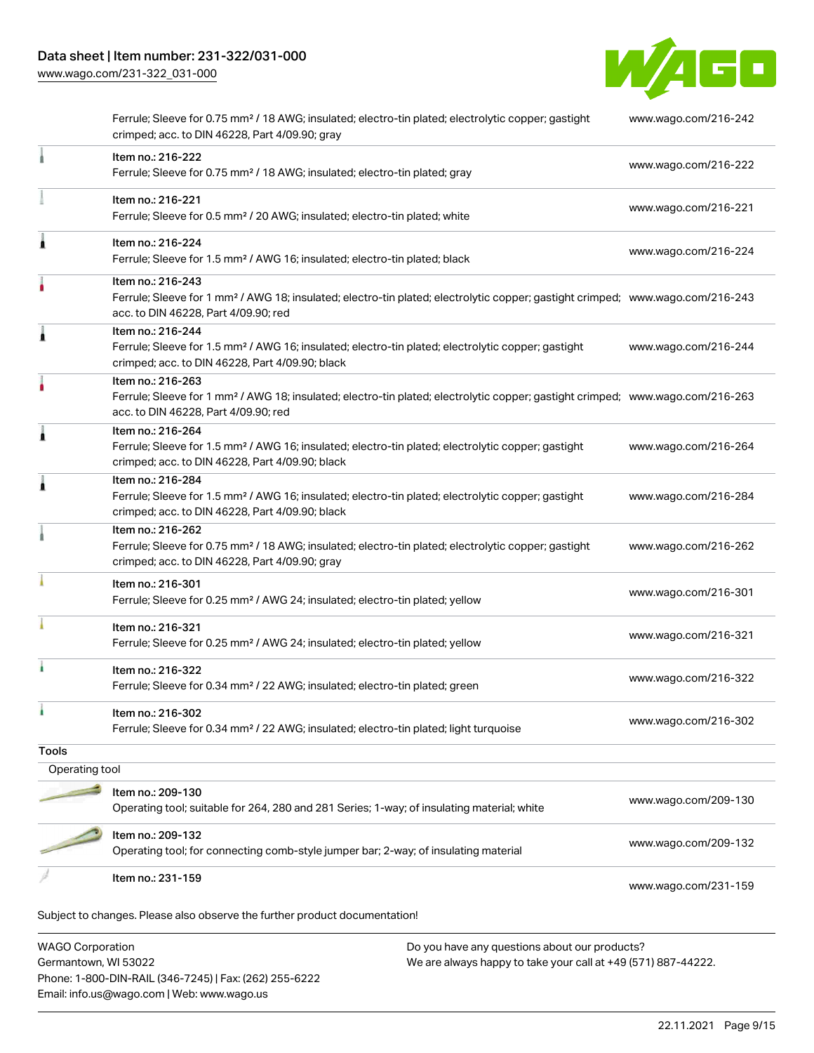[www.wago.com/231-322\\_031-000](http://www.wago.com/231-322_031-000)



| WAGO Corporation | Do you have any questions about our products?                                                                                                                                                           |                      |
|------------------|---------------------------------------------------------------------------------------------------------------------------------------------------------------------------------------------------------|----------------------|
|                  | Subject to changes. Please also observe the further product documentation!                                                                                                                              |                      |
|                  | Item no.: 231-159                                                                                                                                                                                       | www.wago.com/231-159 |
|                  | Item no.: 209-132<br>Operating tool; for connecting comb-style jumper bar; 2-way; of insulating material                                                                                                | www.wago.com/209-132 |
|                  | Item no.: 209-130<br>Operating tool; suitable for 264, 280 and 281 Series; 1-way; of insulating material; white                                                                                         | www.wago.com/209-130 |
|                  |                                                                                                                                                                                                         |                      |
| Operating tool   |                                                                                                                                                                                                         |                      |
| <b>Tools</b>     | Ferrule; Sleeve for 0.34 mm <sup>2</sup> / 22 AWG; insulated; electro-tin plated; light turquoise                                                                                                       | www.wago.com/216-302 |
| ٠                | Ferrule; Sleeve for 0.34 mm <sup>2</sup> / 22 AWG; insulated; electro-tin plated; green<br>Item no.: 216-302                                                                                            |                      |
|                  | Item no.: 216-322                                                                                                                                                                                       | www.wago.com/216-322 |
|                  | Item no.: 216-321<br>Ferrule; Sleeve for 0.25 mm <sup>2</sup> / AWG 24; insulated; electro-tin plated; yellow                                                                                           | www.wago.com/216-321 |
|                  | Item no.: 216-301<br>Ferrule; Sleeve for 0.25 mm <sup>2</sup> / AWG 24; insulated; electro-tin plated; yellow                                                                                           | www.wago.com/216-301 |
|                  | Item no.: 216-262<br>Ferrule; Sleeve for 0.75 mm <sup>2</sup> / 18 AWG; insulated; electro-tin plated; electrolytic copper; gastight<br>crimped; acc. to DIN 46228, Part 4/09.90; gray                  | www.wago.com/216-262 |
| 1                | Item no.: 216-284<br>Ferrule; Sleeve for 1.5 mm <sup>2</sup> / AWG 16; insulated; electro-tin plated; electrolytic copper; gastight<br>crimped; acc. to DIN 46228, Part 4/09.90; black                  | www.wago.com/216-284 |
| 1                | Item no.: 216-264<br>Ferrule; Sleeve for 1.5 mm <sup>2</sup> / AWG 16; insulated; electro-tin plated; electrolytic copper; gastight<br>crimped; acc. to DIN 46228, Part 4/09.90; black                  | www.wago.com/216-264 |
|                  | Item no.: 216-263<br>Ferrule; Sleeve for 1 mm <sup>2</sup> / AWG 18; insulated; electro-tin plated; electrolytic copper; gastight crimped; www.wago.com/216-263<br>acc. to DIN 46228, Part 4/09.90; red |                      |
| Â                | Item no.: 216-244<br>Ferrule; Sleeve for 1.5 mm <sup>2</sup> / AWG 16; insulated; electro-tin plated; electrolytic copper; gastight<br>crimped; acc. to DIN 46228, Part 4/09.90; black                  | www.wago.com/216-244 |
|                  | Item no.: 216-243<br>Ferrule; Sleeve for 1 mm <sup>2</sup> / AWG 18; insulated; electro-tin plated; electrolytic copper; gastight crimped; www.wago.com/216-243<br>acc. to DIN 46228, Part 4/09.90; red |                      |
| ۸                | Item no.: 216-224<br>Ferrule; Sleeve for 1.5 mm <sup>2</sup> / AWG 16; insulated; electro-tin plated; black                                                                                             | www.wago.com/216-224 |
|                  | Item no.: 216-221<br>Ferrule; Sleeve for 0.5 mm <sup>2</sup> / 20 AWG; insulated; electro-tin plated; white                                                                                             | www.wago.com/216-221 |
|                  | Item no.: 216-222<br>Ferrule; Sleeve for 0.75 mm <sup>2</sup> / 18 AWG; insulated; electro-tin plated; gray                                                                                             | www.wago.com/216-222 |
|                  | Ferrule; Sleeve for 0.75 mm <sup>2</sup> / 18 AWG; insulated; electro-tin plated; electrolytic copper; gastight<br>crimped; acc. to DIN 46228, Part 4/09.90; gray                                       | www.wago.com/216-242 |

WAGO Corporation Germantown, WI 53022 Phone: 1-800-DIN-RAIL (346-7245) | Fax: (262) 255-6222 Email: info.us@wago.com | Web: www.wago.us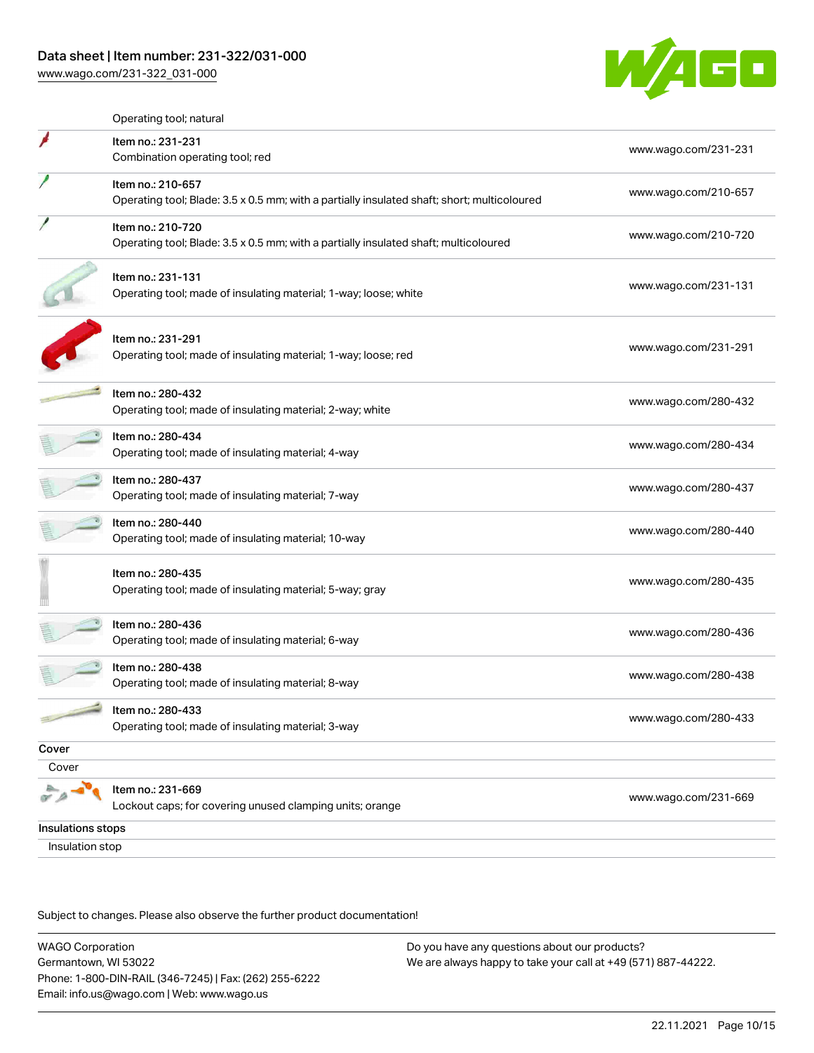## Data sheet | Item number: 231-322/031-000

[www.wago.com/231-322\\_031-000](http://www.wago.com/231-322_031-000)



|                   | Operating tool; natural                                                                                          |                      |
|-------------------|------------------------------------------------------------------------------------------------------------------|----------------------|
|                   | Item no.: 231-231<br>Combination operating tool; red                                                             | www.wago.com/231-231 |
|                   | Item no.: 210-657<br>Operating tool; Blade: 3.5 x 0.5 mm; with a partially insulated shaft; short; multicoloured | www.wago.com/210-657 |
|                   | Item no.: 210-720<br>Operating tool; Blade: 3.5 x 0.5 mm; with a partially insulated shaft; multicoloured        | www.wago.com/210-720 |
|                   | Item no.: 231-131<br>Operating tool; made of insulating material; 1-way; loose; white                            | www.wago.com/231-131 |
|                   | Item no.: 231-291<br>Operating tool; made of insulating material; 1-way; loose; red                              | www.wago.com/231-291 |
|                   | Item no.: 280-432<br>Operating tool; made of insulating material; 2-way; white                                   | www.wago.com/280-432 |
|                   | Item no.: 280-434<br>Operating tool; made of insulating material; 4-way                                          | www.wago.com/280-434 |
|                   | Item no.: 280-437<br>Operating tool; made of insulating material; 7-way                                          | www.wago.com/280-437 |
|                   | Item no.: 280-440<br>Operating tool; made of insulating material; 10-way                                         | www.wago.com/280-440 |
|                   | Item no.: 280-435<br>Operating tool; made of insulating material; 5-way; gray                                    | www.wago.com/280-435 |
|                   | Item no.: 280-436<br>Operating tool; made of insulating material; 6-way                                          | www.wago.com/280-436 |
|                   | Item no.: 280-438<br>Operating tool; made of insulating material; 8-way                                          | www.wago.com/280-438 |
|                   | Item no.: 280-433<br>Operating tool; made of insulating material; 3-way                                          | www.wago.com/280-433 |
| Cover             |                                                                                                                  |                      |
| Cover             |                                                                                                                  |                      |
|                   | Item no.: 231-669<br>Lockout caps; for covering unused clamping units; orange                                    | www.wago.com/231-669 |
| Insulations stops |                                                                                                                  |                      |
| Insulation stop   |                                                                                                                  |                      |

Subject to changes. Please also observe the further product documentation!

WAGO Corporation Germantown, WI 53022 Phone: 1-800-DIN-RAIL (346-7245) | Fax: (262) 255-6222 Email: info.us@wago.com | Web: www.wago.us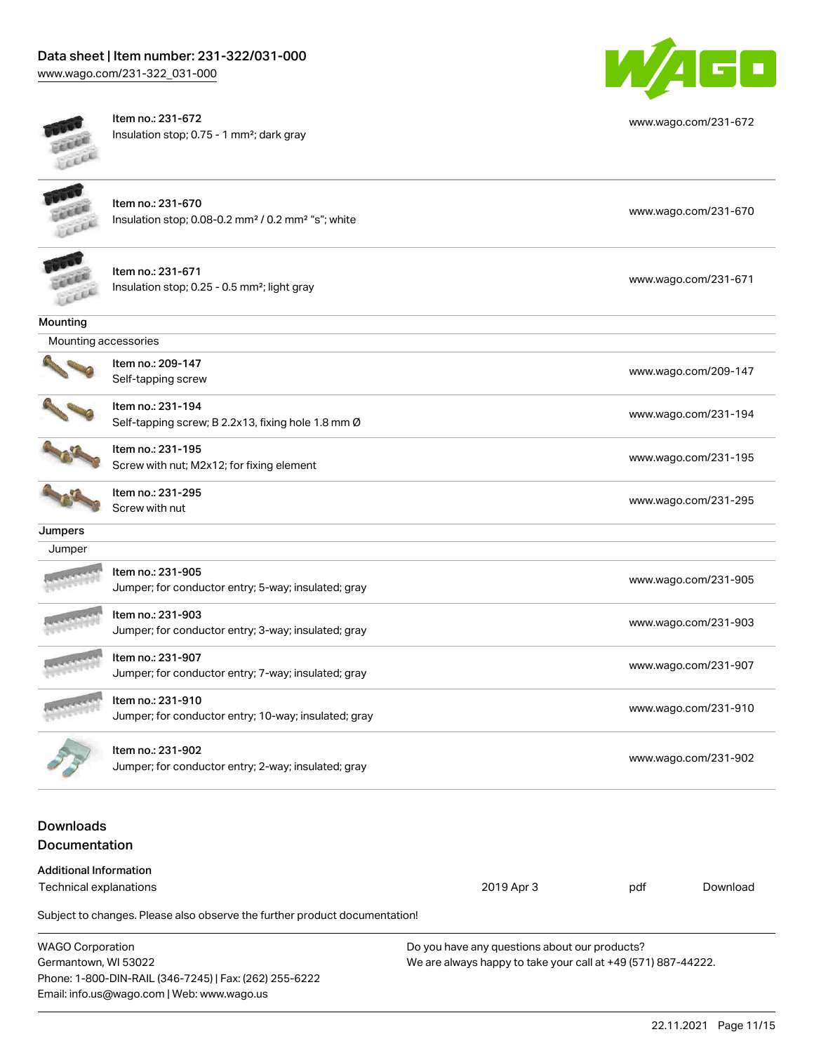# Data sheet | Item number: 231-322/031-000

[www.wago.com/231-322\\_031-000](http://www.wago.com/231-322_031-000)



Item no.: 231-672 Insulation stop; 0.75 - 1 mm²; dark gray



[www.wago.com/231-672](http://www.wago.com/231-672)

|                                                         | Item no.: 231-670<br>Insulation stop; 0.08-0.2 mm <sup>2</sup> / 0.2 mm <sup>2</sup> "s"; white |                      |                      | www.wago.com/231-670 |  |
|---------------------------------------------------------|-------------------------------------------------------------------------------------------------|----------------------|----------------------|----------------------|--|
|                                                         | Item no.: 231-671<br>Insulation stop; 0.25 - 0.5 mm <sup>2</sup> ; light gray                   |                      |                      | www.wago.com/231-671 |  |
| Mounting                                                |                                                                                                 |                      |                      |                      |  |
| Mounting accessories                                    |                                                                                                 |                      |                      |                      |  |
|                                                         | Item no.: 209-147<br>Self-tapping screw                                                         |                      |                      | www.wago.com/209-147 |  |
|                                                         | Item no.: 231-194<br>Self-tapping screw; B 2.2x13, fixing hole 1.8 mm Ø                         |                      | www.wago.com/231-194 |                      |  |
|                                                         | Item no.: 231-195<br>Screw with nut; M2x12; for fixing element                                  |                      | www.wago.com/231-195 |                      |  |
|                                                         | Item no.: 231-295<br>Screw with nut                                                             | www.wago.com/231-295 |                      |                      |  |
| Jumpers                                                 |                                                                                                 |                      |                      |                      |  |
| Jumper                                                  |                                                                                                 |                      |                      |                      |  |
|                                                         | Item no.: 231-905<br>Jumper; for conductor entry; 5-way; insulated; gray                        |                      | www.wago.com/231-905 |                      |  |
|                                                         | Item no.: 231-903<br>Jumper; for conductor entry; 3-way; insulated; gray                        |                      | www.wago.com/231-903 |                      |  |
|                                                         | Item no.: 231-907<br>Jumper; for conductor entry; 7-way; insulated; gray                        |                      | www.wago.com/231-907 |                      |  |
|                                                         | Item no.: 231-910<br>Jumper; for conductor entry; 10-way; insulated; gray                       |                      | www.wago.com/231-910 |                      |  |
|                                                         | ltem no.: 231-902<br>Jumper; for conductor entry; 2-way; insulated; gray                        |                      | www.wago.com/231-902 |                      |  |
| <b>Downloads</b>                                        |                                                                                                 |                      |                      |                      |  |
| Documentation                                           |                                                                                                 |                      |                      |                      |  |
| <b>Additional Information</b><br>Technical explanations |                                                                                                 | 2019 Apr 3           | pdf                  | Download             |  |
|                                                         |                                                                                                 |                      |                      |                      |  |
|                                                         | Subject to changes. Please also observe the further product documentation!                      |                      |                      |                      |  |

| <b>WAGO Corporation</b>                                | Do you have any questions about our products?                 |  |  |  |
|--------------------------------------------------------|---------------------------------------------------------------|--|--|--|
| Germantown, WI 53022                                   | We are always happy to take your call at +49 (571) 887-44222. |  |  |  |
| Phone: 1-800-DIN-RAIL (346-7245)   Fax: (262) 255-6222 |                                                               |  |  |  |
| Email: info.us@wago.com   Web: www.wago.us             |                                                               |  |  |  |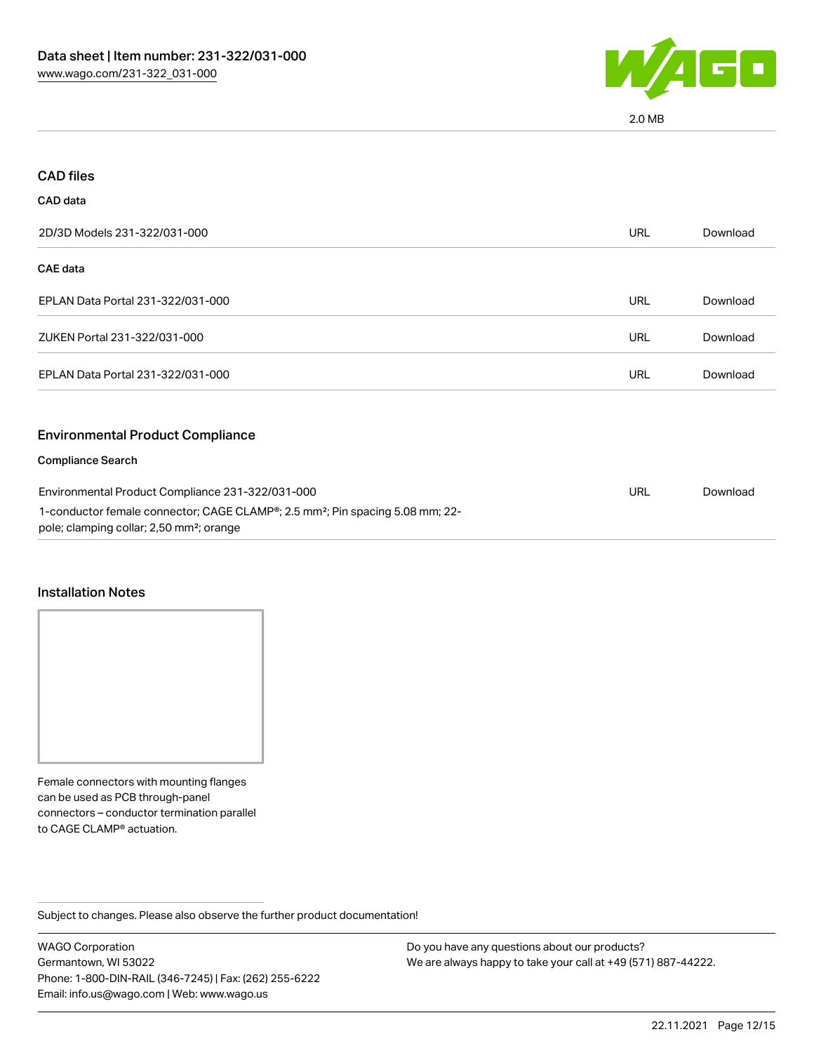

2.0 MB

| <b>CAD files</b>                                                                                                                                  |            |          |
|---------------------------------------------------------------------------------------------------------------------------------------------------|------------|----------|
| CAD data                                                                                                                                          |            |          |
| 2D/3D Models 231-322/031-000                                                                                                                      | <b>URL</b> | Download |
| CAE data                                                                                                                                          |            |          |
| EPLAN Data Portal 231-322/031-000                                                                                                                 | URL        | Download |
| ZUKEN Portal 231-322/031-000                                                                                                                      | URL        | Download |
| EPLAN Data Portal 231-322/031-000                                                                                                                 | <b>URL</b> | Download |
| <b>Environmental Product Compliance</b>                                                                                                           |            |          |
| <b>Compliance Search</b>                                                                                                                          |            |          |
| Environmental Product Compliance 231-322/031-000                                                                                                  |            | Download |
| 1-conductor female connector; CAGE CLAMP®; 2.5 mm <sup>2</sup> ; Pin spacing 5.08 mm; 22-<br>pole; clamping collar; 2,50 mm <sup>2</sup> ; orange |            |          |

#### Installation Notes

Female connectors with mounting flanges can be used as PCB through-panel connectors – conductor termination parallel to CAGE CLAMP® actuation.

Subject to changes. Please also observe the further product documentation!

WAGO Corporation Germantown, WI 53022 Phone: 1-800-DIN-RAIL (346-7245) | Fax: (262) 255-6222 Email: info.us@wago.com | Web: www.wago.us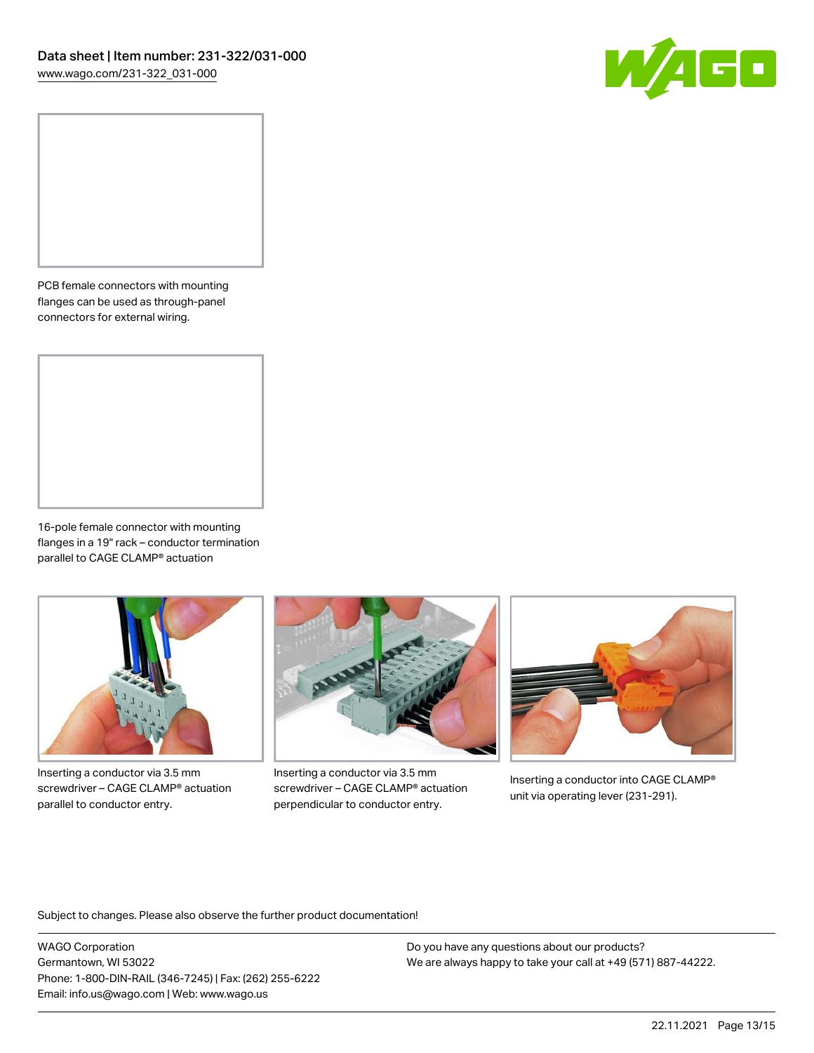

PCB female connectors with mounting flanges can be used as through-panel connectors for external wiring.

16-pole female connector with mounting flanges in a 19" rack – conductor termination parallel to CAGE CLAMP® actuation



Inserting a conductor via 3.5 mm screwdriver – CAGE CLAMP® actuation parallel to conductor entry.



Inserting a conductor via 3.5 mm screwdriver – CAGE CLAMP® actuation perpendicular to conductor entry.



Inserting a conductor into CAGE CLAMP® unit via operating lever (231-291).

Subject to changes. Please also observe the further product documentation!

WAGO Corporation Germantown, WI 53022 Phone: 1-800-DIN-RAIL (346-7245) | Fax: (262) 255-6222 Email: info.us@wago.com | Web: www.wago.us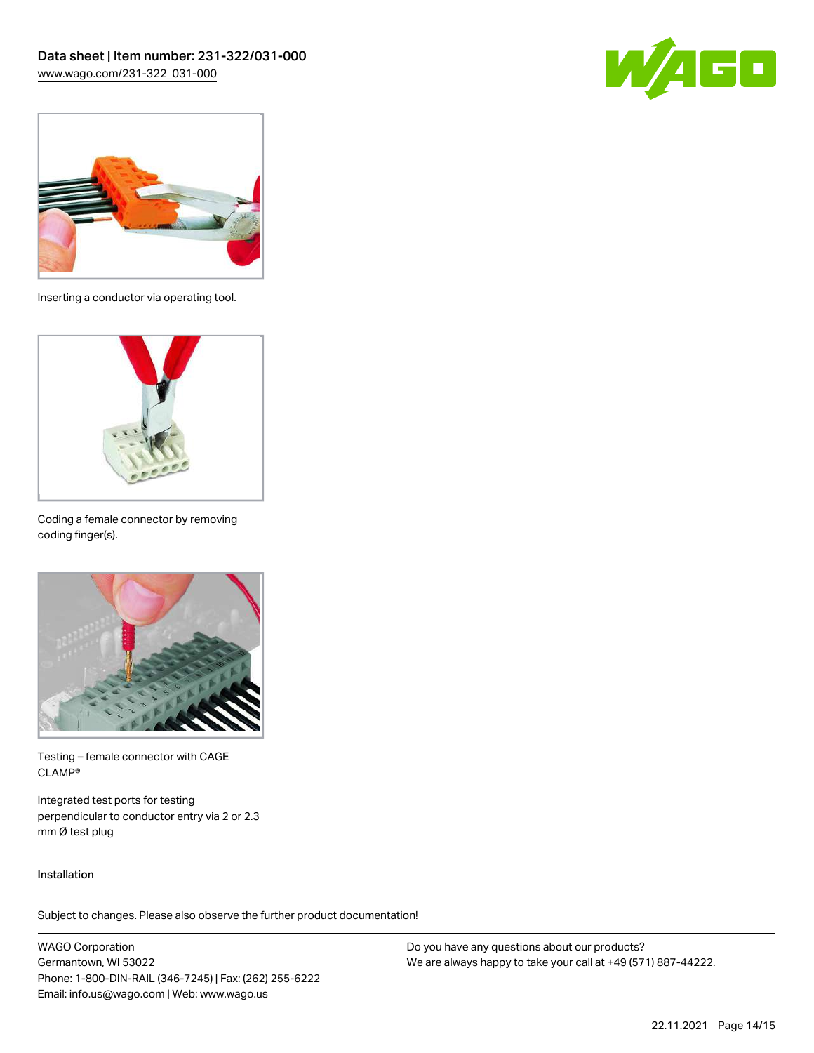



Inserting a conductor via operating tool.



Coding a female connector by removing coding finger(s).



Testing – female connector with CAGE CLAMP®

Integrated test ports for testing perpendicular to conductor entry via 2 or 2.3 mm Ø test plug

#### Installation

Subject to changes. Please also observe the further product documentation!

WAGO Corporation Germantown, WI 53022 Phone: 1-800-DIN-RAIL (346-7245) | Fax: (262) 255-6222 Email: info.us@wago.com | Web: www.wago.us